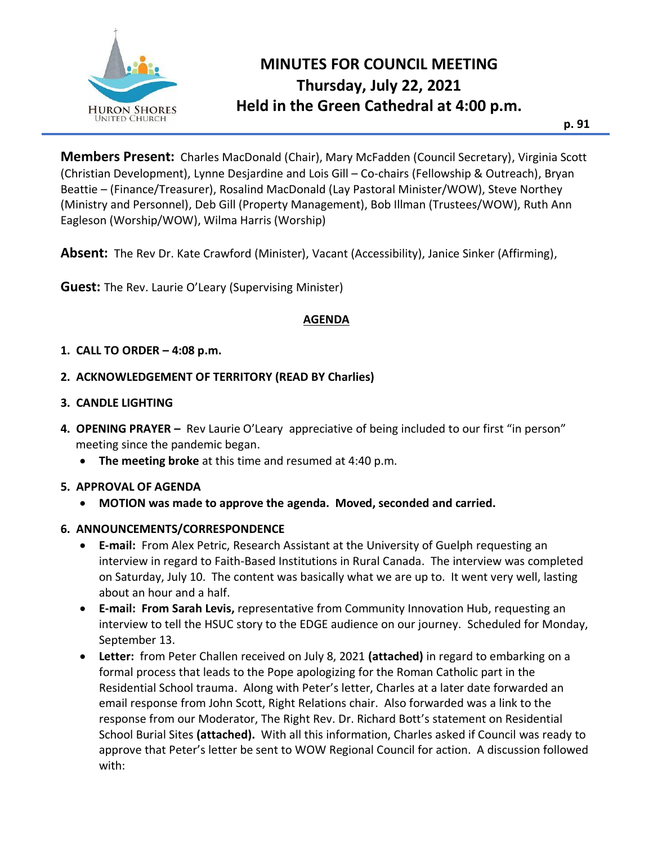

# **MINUTES FOR COUNCIL MEETING Thursday, July 22, 2021 Held in the Green Cathedral at 4:00 p.m.**

**p. 91**

**Members Present:** Charles MacDonald (Chair), Mary McFadden (Council Secretary), Virginia Scott (Christian Development), Lynne Desjardine and Lois Gill – Co-chairs (Fellowship & Outreach), Bryan Beattie – (Finance/Treasurer), Rosalind MacDonald (Lay Pastoral Minister/WOW), Steve Northey (Ministry and Personnel), Deb Gill (Property Management), Bob Illman (Trustees/WOW), Ruth Ann Eagleson (Worship/WOW), Wilma Harris (Worship)

**Absent:** The Rev Dr. Kate Crawford (Minister), Vacant (Accessibility), Janice Sinker (Affirming),

**Guest:** The Rev. Laurie O'Leary (Supervising Minister)

#### **AGENDA**

#### **1. CALL TO ORDER – 4:08 p.m.**

#### **2. ACKNOWLEDGEMENT OF TERRITORY (READ BY Charlies)**

#### **3. CANDLE LIGHTING**

- **4. OPENING PRAYER –** Rev Laurie O'Leary appreciative of being included to our first "in person" meeting since the pandemic began.
	- **The meeting broke** at this time and resumed at 4:40 p.m.

#### **5. APPROVAL OF AGENDA**

• **MOTION was made to approve the agenda. Moved, seconded and carried.**

#### **6. ANNOUNCEMENTS/CORRESPONDENCE**

- **E-mail:** From Alex Petric, Research Assistant at the University of Guelph requesting an interview in regard to Faith-Based Institutions in Rural Canada. The interview was completed on Saturday, July 10. The content was basically what we are up to. It went very well, lasting about an hour and a half.
- **E-mail: From Sarah Levis,** representative from Community Innovation Hub, requesting an interview to tell the HSUC story to the EDGE audience on our journey. Scheduled for Monday, September 13.
- **Letter:** from Peter Challen received on July 8, 2021 **(attached)** in regard to embarking on a formal process that leads to the Pope apologizing for the Roman Catholic part in the Residential School trauma. Along with Peter's letter, Charles at a later date forwarded an email response from John Scott, Right Relations chair. Also forwarded was a link to the response from our Moderator, The Right Rev. Dr. Richard Bott's statement on Residential School Burial Sites **(attached).** With all this information, Charles asked if Council was ready to approve that Peter's letter be sent to WOW Regional Council for action. A discussion followed with: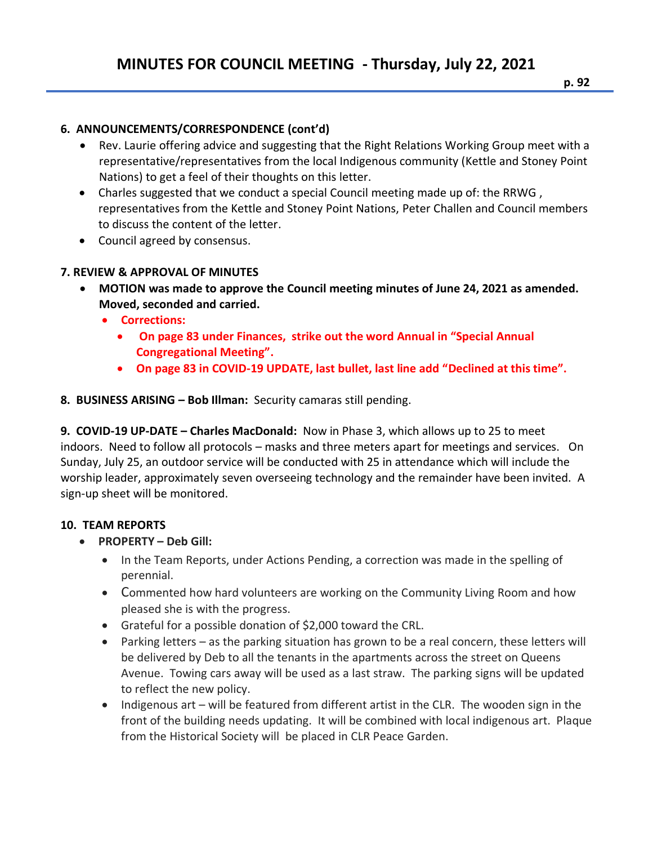## **6. ANNOUNCEMENTS/CORRESPONDENCE (cont'd)**

- Rev. Laurie offering advice and suggesting that the Right Relations Working Group meet with a representative/representatives from the local Indigenous community (Kettle and Stoney Point Nations) to get a feel of their thoughts on this letter.
- Charles suggested that we conduct a special Council meeting made up of: the RRWG , representatives from the Kettle and Stoney Point Nations, Peter Challen and Council members to discuss the content of the letter.
- Council agreed by consensus.

## **7. REVIEW & APPROVAL OF MINUTES**

- **MOTION was made to approve the Council meeting minutes of June 24, 2021 as amended. Moved, seconded and carried.**
	- **Corrections:**
		- **On page 83 under Finances, strike out the word Annual in "Special Annual Congregational Meeting".**
		- **On page 83 in COVID-19 UPDATE, last bullet, last line add "Declined at this time".**

## **8. BUSINESS ARISING – Bob Illman:** Security camaras still pending.

**9. COVID-19 UP-DATE – Charles MacDonald:** Now in Phase 3, which allows up to 25 to meet indoors. Need to follow all protocols – masks and three meters apart for meetings and services. On Sunday, July 25, an outdoor service will be conducted with 25 in attendance which will include the worship leader, approximately seven overseeing technology and the remainder have been invited. A sign-up sheet will be monitored.

## **10. TEAM REPORTS**

- **PROPERTY – Deb Gill:**
	- In the Team Reports, under Actions Pending, a correction was made in the spelling of perennial.
	- Commented how hard volunteers are working on the Community Living Room and how pleased she is with the progress.
	- Grateful for a possible donation of \$2,000 toward the CRL.
	- Parking letters as the parking situation has grown to be a real concern, these letters will be delivered by Deb to all the tenants in the apartments across the street on Queens Avenue. Towing cars away will be used as a last straw. The parking signs will be updated to reflect the new policy.
	- Indigenous art will be featured from different artist in the CLR. The wooden sign in the front of the building needs updating. It will be combined with local indigenous art. Plaque from the Historical Society will be placed in CLR Peace Garden.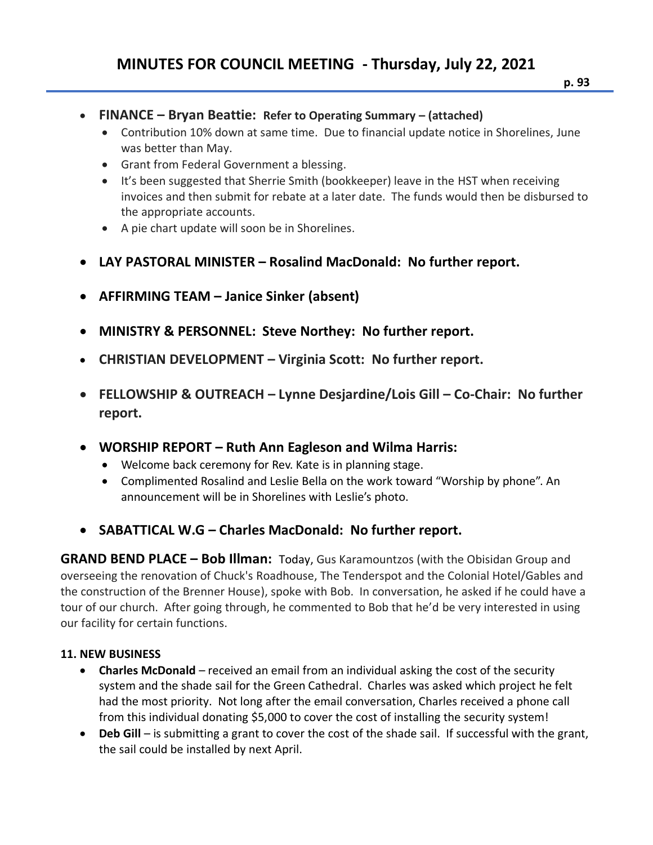## **MINUTES FOR COUNCIL MEETING - Thursday, July 22, 2021**

- **p. 93**
- **FINANCE – Bryan Beattie: Refer to Operating Summary – (attached)**
	- Contribution 10% down at same time. Due to financial update notice in Shorelines, June was better than May.
	- Grant from Federal Government a blessing.
	- It's been suggested that Sherrie Smith (bookkeeper) leave in the HST when receiving invoices and then submit for rebate at a later date. The funds would then be disbursed to the appropriate accounts.
	- A pie chart update will soon be in Shorelines.
- **LAY PASTORAL MINISTER – Rosalind MacDonald: No further report.**
- **AFFIRMING TEAM – Janice Sinker (absent)**
- **MINISTRY & PERSONNEL: Steve Northey: No further report.**
- **CHRISTIAN DEVELOPMENT – Virginia Scott: No further report.**
- **FELLOWSHIP & OUTREACH – Lynne Desjardine/Lois Gill – Co-Chair: No further report.**
- **WORSHIP REPORT – Ruth Ann Eagleson and Wilma Harris:** 
	- Welcome back ceremony for Rev. Kate is in planning stage.
	- Complimented Rosalind and Leslie Bella on the work toward "Worship by phone". An announcement will be in Shorelines with Leslie's photo.
- **SABATTICAL W.G – Charles MacDonald: No further report.**

**GRAND BEND PLACE – Bob Illman:** Today, Gus Karamountzos (with the Obisidan Group and overseeing the renovation of Chuck's Roadhouse, The Tenderspot and the Colonial Hotel/Gables and the construction of the Brenner House), spoke with Bob. In conversation, he asked if he could have a tour of our church. After going through, he commented to Bob that he'd be very interested in using our facility for certain functions.

#### **11. NEW BUSINESS**

- **Charles McDonald** received an email from an individual asking the cost of the security system and the shade sail for the Green Cathedral. Charles was asked which project he felt had the most priority. Not long after the email conversation, Charles received a phone call from this individual donating \$5,000 to cover the cost of installing the security system!
- **Deb Gill** is submitting a grant to cover the cost of the shade sail. If successful with the grant, the sail could be installed by next April.